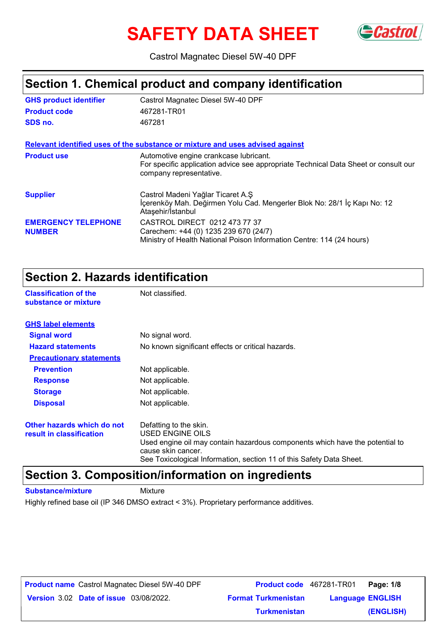# **SAFETY DATA SHEET**



Castrol Magnatec Diesel 5W-40 DPF

### **Section 1. Chemical product and company identification**

| <b>GHS product identifier</b>               | Castrol Magnatec Diesel 5W-40 DPF                                                                                                                        |
|---------------------------------------------|----------------------------------------------------------------------------------------------------------------------------------------------------------|
| <b>Product code</b>                         | 467281-TR01                                                                                                                                              |
| SDS no.                                     | 467281                                                                                                                                                   |
|                                             | Relevant identified uses of the substance or mixture and uses advised against                                                                            |
| <b>Product use</b>                          | Automotive engine crankcase lubricant.<br>For specific application advice see appropriate Technical Data Sheet or consult our<br>company representative. |
| <b>Supplier</b>                             | Castrol Madeni Yağlar Ticaret A.Ş<br>İçerenköy Mah. Değirmen Yolu Cad. Mengerler Blok No: 28/1 İç Kapı No: 12<br>Ataşehir/İstanbul                       |
| <b>EMERGENCY TELEPHONE</b><br><b>NUMBER</b> | CASTROL DIRECT 0212 473 77 37<br>Carechem: +44 (0) 1235 239 670 (24/7)<br>Ministry of Health National Poison Information Centre: 114 (24 hours)          |

### **Section 2. Hazards identification**

**Classification of the Mot classified. substance or mixture**

| <b>GHS label elements</b>                              |                                                                                                                                                                                                                          |  |
|--------------------------------------------------------|--------------------------------------------------------------------------------------------------------------------------------------------------------------------------------------------------------------------------|--|
| <b>Signal word</b>                                     | No signal word.                                                                                                                                                                                                          |  |
| <b>Hazard statements</b>                               | No known significant effects or critical hazards.                                                                                                                                                                        |  |
| <b>Precautionary statements</b>                        |                                                                                                                                                                                                                          |  |
| <b>Prevention</b>                                      | Not applicable.                                                                                                                                                                                                          |  |
| <b>Response</b>                                        | Not applicable.                                                                                                                                                                                                          |  |
| <b>Storage</b>                                         | Not applicable.                                                                                                                                                                                                          |  |
| <b>Disposal</b>                                        | Not applicable.                                                                                                                                                                                                          |  |
| Other hazards which do not<br>result in classification | Defatting to the skin.<br>USED ENGINE OILS<br>Used engine oil may contain hazardous components which have the potential to<br>cause skin cancer.<br>See Toxicological Information, section 11 of this Safety Data Sheet. |  |

### **Section 3. Composition/information on ingredients**

**Substance/mixture** Mixture

Highly refined base oil (IP 346 DMSO extract < 3%). Proprietary performance additives.

**Date of issue** 03/08/2022. **Version** 3.02 **Format Turkmenistan Language Product name** Castrol Magnatec Diesel 5W-40 DPF **Product code** 467281-TR01 **Page: 1/8 Language ENGLISH (ENGLISH) Product code** 467281-TR01 Page: 1/8 **Turkmenistan**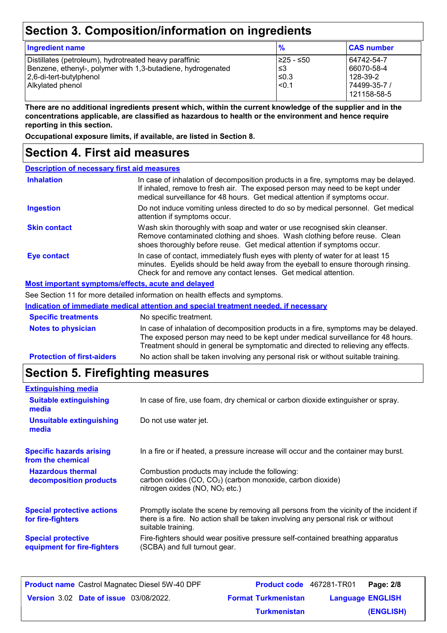## **Section 3. Composition/information on ingredients**

| <b>Ingredient name</b>                                                                                                                                               | $\frac{9}{6}$                            | <b>CAS number</b>                                                   |
|----------------------------------------------------------------------------------------------------------------------------------------------------------------------|------------------------------------------|---------------------------------------------------------------------|
| Distillates (petroleum), hydrotreated heavy paraffinic<br>Benzene, ethenyl-, polymer with 1,3-butadiene, hydrogenated<br>2,6-di-tert-butylphenol<br>Alkylated phenol | 1≥25 - ≤50<br>l ≤3<br>$≤0.3$<br>$ $ <0.1 | 64742-54-7<br>66070-58-4<br>128-39-2<br>74499-35-7 /<br>121158-58-5 |

**There are no additional ingredients present which, within the current knowledge of the supplier and in the concentrations applicable, are classified as hazardous to health or the environment and hence require reporting in this section.**

**Occupational exposure limits, if available, are listed in Section 8.**

### **Section 4. First aid measures**

| <b>Description of necessary first aid measures</b> |                                                                                                                                                                                                                                                             |  |
|----------------------------------------------------|-------------------------------------------------------------------------------------------------------------------------------------------------------------------------------------------------------------------------------------------------------------|--|
| <b>Inhalation</b>                                  | In case of inhalation of decomposition products in a fire, symptoms may be delayed.<br>If inhaled, remove to fresh air. The exposed person may need to be kept under<br>medical surveillance for 48 hours. Get medical attention if symptoms occur.         |  |
| <b>Ingestion</b>                                   | Do not induce vomiting unless directed to do so by medical personnel. Get medical<br>attention if symptoms occur.                                                                                                                                           |  |
| <b>Skin contact</b>                                | Wash skin thoroughly with soap and water or use recognised skin cleanser.<br>Remove contaminated clothing and shoes. Wash clothing before reuse. Clean<br>shoes thoroughly before reuse. Get medical attention if symptoms occur.                           |  |
| Eye contact                                        | In case of contact, immediately flush eyes with plenty of water for at least 15<br>minutes. Eyelids should be held away from the eyeball to ensure thorough rinsing.<br>Check for and remove any contact lenses. Get medical attention.                     |  |
| Most important symptoms/effects, acute and delayed |                                                                                                                                                                                                                                                             |  |
|                                                    | See Section 11 for more detailed information on health effects and symptoms.                                                                                                                                                                                |  |
|                                                    | Indication of immediate medical attention and special treatment needed, if necessary                                                                                                                                                                        |  |
| <b>Specific treatments</b>                         | No specific treatment.                                                                                                                                                                                                                                      |  |
| <b>Notes to physician</b>                          | In case of inhalation of decomposition products in a fire, symptoms may be delayed.<br>The exposed person may need to be kept under medical surveillance for 48 hours.<br>Treatment should in general be symptomatic and directed to relieving any effects. |  |
| <b>Protection of first-aiders</b>                  | No action shall be taken involving any personal risk or without suitable training.                                                                                                                                                                          |  |

## **Section 5. Firefighting measures**

| <b>Extinguishing media</b>                               |                                                                                                                                                                                                   |
|----------------------------------------------------------|---------------------------------------------------------------------------------------------------------------------------------------------------------------------------------------------------|
| <b>Suitable extinguishing</b><br>media                   | In case of fire, use foam, dry chemical or carbon dioxide extinguisher or spray.                                                                                                                  |
| <b>Unsuitable extinguishing</b><br>media                 | Do not use water jet.                                                                                                                                                                             |
| <b>Specific hazards arising</b><br>from the chemical     | In a fire or if heated, a pressure increase will occur and the container may burst.                                                                                                               |
| <b>Hazardous thermal</b><br>decomposition products       | Combustion products may include the following:<br>carbon oxides (CO, CO <sub>2</sub> ) (carbon monoxide, carbon dioxide)<br>nitrogen oxides (NO, NO <sub>2</sub> etc.)                            |
| <b>Special protective actions</b><br>for fire-fighters   | Promptly isolate the scene by removing all persons from the vicinity of the incident if<br>there is a fire. No action shall be taken involving any personal risk or without<br>suitable training. |
| <b>Special protective</b><br>equipment for fire-fighters | Fire-fighters should wear positive pressure self-contained breathing apparatus<br>(SCBA) and full turnout gear.                                                                                   |

| <b>Product name</b> Castrol Magnatec Diesel 5W-40 DPF | Product code 467281-TR01   |                         | Page: 2/8 |
|-------------------------------------------------------|----------------------------|-------------------------|-----------|
| <b>Version 3.02 Date of issue 03/08/2022.</b>         | <b>Format Turkmenistan</b> | <b>Language ENGLISH</b> |           |
|                                                       | <b>Turkmenistan</b>        |                         | (ENGLISH) |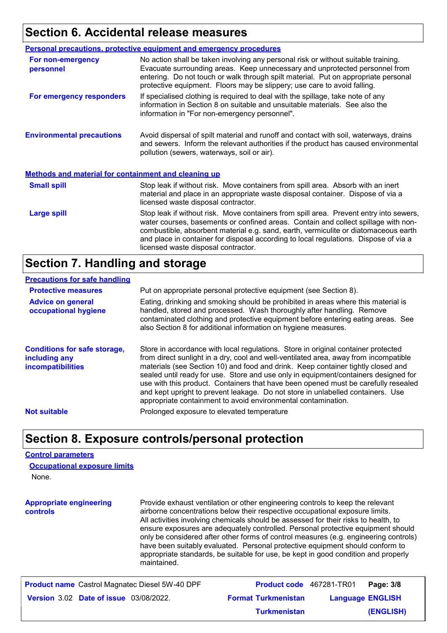### **Section 6. Accidental release measures**

|                                                             | <b>Personal precautions, protective equipment and emergency procedures</b>                                                                                                                                                                                                                                                                                                                         |
|-------------------------------------------------------------|----------------------------------------------------------------------------------------------------------------------------------------------------------------------------------------------------------------------------------------------------------------------------------------------------------------------------------------------------------------------------------------------------|
| For non-emergency<br>personnel                              | No action shall be taken involving any personal risk or without suitable training.<br>Evacuate surrounding areas. Keep unnecessary and unprotected personnel from<br>entering. Do not touch or walk through spilt material. Put on appropriate personal<br>protective equipment. Floors may be slippery; use care to avoid falling.                                                                |
| For emergency responders                                    | If specialised clothing is required to deal with the spillage, take note of any<br>information in Section 8 on suitable and unsuitable materials. See also the<br>information in "For non-emergency personnel".                                                                                                                                                                                    |
| <b>Environmental precautions</b>                            | Avoid dispersal of spilt material and runoff and contact with soil, waterways, drains<br>and sewers. Inform the relevant authorities if the product has caused environmental<br>pollution (sewers, waterways, soil or air).                                                                                                                                                                        |
| <b>Methods and material for containment and cleaning up</b> |                                                                                                                                                                                                                                                                                                                                                                                                    |
| <b>Small spill</b>                                          | Stop leak if without risk. Move containers from spill area. Absorb with an inert<br>material and place in an appropriate waste disposal container. Dispose of via a<br>licensed waste disposal contractor.                                                                                                                                                                                         |
| <b>Large spill</b>                                          | Stop leak if without risk. Move containers from spill area. Prevent entry into sewers,<br>water courses, basements or confined areas. Contain and collect spillage with non-<br>combustible, absorbent material e.g. sand, earth, vermiculite or diatomaceous earth<br>and place in container for disposal according to local regulations. Dispose of via a<br>licensed waste disposal contractor. |

### **Section 7. Handling and storage**

#### **Precautions for safe handling**

| <b>Protective measures</b><br><b>Advice on general</b><br>occupational hygiene   | Put on appropriate personal protective equipment (see Section 8).<br>Eating, drinking and smoking should be prohibited in areas where this material is<br>handled, stored and processed. Wash thoroughly after handling. Remove<br>contaminated clothing and protective equipment before entering eating areas. See<br>also Section 8 for additional information on hygiene measures.                                                                                                                                                                                                          |
|----------------------------------------------------------------------------------|------------------------------------------------------------------------------------------------------------------------------------------------------------------------------------------------------------------------------------------------------------------------------------------------------------------------------------------------------------------------------------------------------------------------------------------------------------------------------------------------------------------------------------------------------------------------------------------------|
| <b>Conditions for safe storage,</b><br>including any<br><i>incompatibilities</i> | Store in accordance with local regulations. Store in original container protected<br>from direct sunlight in a dry, cool and well-ventilated area, away from incompatible<br>materials (see Section 10) and food and drink. Keep container tightly closed and<br>sealed until ready for use. Store and use only in equipment/containers designed for<br>use with this product. Containers that have been opened must be carefully resealed<br>and kept upright to prevent leakage. Do not store in unlabelled containers. Use<br>appropriate containment to avoid environmental contamination. |
| <b>Not suitable</b>                                                              | Prolonged exposure to elevated temperature                                                                                                                                                                                                                                                                                                                                                                                                                                                                                                                                                     |

### **Section 8. Exposure controls/personal protection**

#### **Control parameters**

| <b>Occupational exposure limits</b> |  |
|-------------------------------------|--|
| None.                               |  |

**Appropriate engineering controls** Provide exhaust ventilation or other engineering controls to keep the relevant airborne concentrations below their respective occupational exposure limits. All activities involving chemicals should be assessed for their risks to health, to ensure exposures are adequately controlled. Personal protective equipment should only be considered after other forms of control measures (e.g. engineering controls) have been suitably evaluated. Personal protective equipment should conform to appropriate standards, be suitable for use, be kept in good condition and properly maintained.

| <b>Product name</b> Castrol Magnatec Diesel 5W-40 DPF | <b>Product code</b> 467281-TR01 | Page: 3/8               |
|-------------------------------------------------------|---------------------------------|-------------------------|
| <b>Version 3.02 Date of issue 03/08/2022.</b>         | <b>Format Turkmenistan</b>      | <b>Language ENGLISH</b> |
|                                                       | <b>Turkmenistan</b>             | (ENGLISH)               |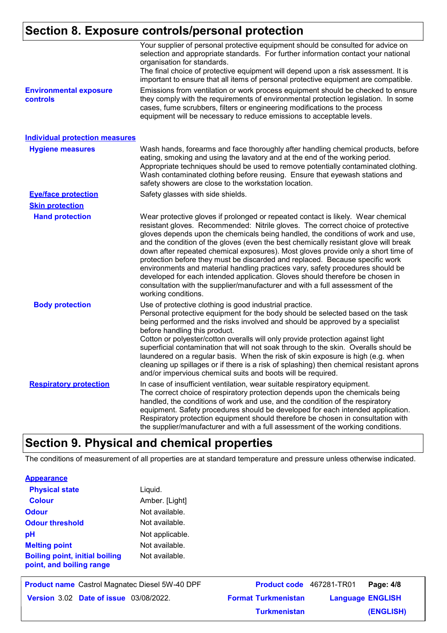### **Section 8. Exposure controls/personal protection**

|                                           | Your supplier of personal protective equipment should be consulted for advice on<br>selection and appropriate standards. For further information contact your national<br>organisation for standards.<br>The final choice of protective equipment will depend upon a risk assessment. It is<br>important to ensure that all items of personal protective equipment are compatible.                                                                                                                                                                                                                                                                                                                                                                                                              |
|-------------------------------------------|-------------------------------------------------------------------------------------------------------------------------------------------------------------------------------------------------------------------------------------------------------------------------------------------------------------------------------------------------------------------------------------------------------------------------------------------------------------------------------------------------------------------------------------------------------------------------------------------------------------------------------------------------------------------------------------------------------------------------------------------------------------------------------------------------|
| <b>Environmental exposure</b><br>controls | Emissions from ventilation or work process equipment should be checked to ensure<br>they comply with the requirements of environmental protection legislation. In some<br>cases, fume scrubbers, filters or engineering modifications to the process<br>equipment will be necessary to reduce emissions to acceptable levels.                                                                                                                                                                                                                                                                                                                                                                                                                                                                   |
| <b>Individual protection measures</b>     |                                                                                                                                                                                                                                                                                                                                                                                                                                                                                                                                                                                                                                                                                                                                                                                                 |
| <b>Hygiene measures</b>                   | Wash hands, forearms and face thoroughly after handling chemical products, before<br>eating, smoking and using the lavatory and at the end of the working period.<br>Appropriate techniques should be used to remove potentially contaminated clothing.<br>Wash contaminated clothing before reusing. Ensure that eyewash stations and<br>safety showers are close to the workstation location.                                                                                                                                                                                                                                                                                                                                                                                                 |
| <b>Eye/face protection</b>                | Safety glasses with side shields.                                                                                                                                                                                                                                                                                                                                                                                                                                                                                                                                                                                                                                                                                                                                                               |
| <b>Skin protection</b>                    |                                                                                                                                                                                                                                                                                                                                                                                                                                                                                                                                                                                                                                                                                                                                                                                                 |
| <b>Hand protection</b>                    | Wear protective gloves if prolonged or repeated contact is likely. Wear chemical<br>resistant gloves. Recommended: Nitrile gloves. The correct choice of protective<br>gloves depends upon the chemicals being handled, the conditions of work and use,<br>and the condition of the gloves (even the best chemically resistant glove will break<br>down after repeated chemical exposures). Most gloves provide only a short time of<br>protection before they must be discarded and replaced. Because specific work<br>environments and material handling practices vary, safety procedures should be<br>developed for each intended application. Gloves should therefore be chosen in<br>consultation with the supplier/manufacturer and with a full assessment of the<br>working conditions. |
| <b>Body protection</b>                    | Use of protective clothing is good industrial practice.<br>Personal protective equipment for the body should be selected based on the task<br>being performed and the risks involved and should be approved by a specialist<br>before handling this product.<br>Cotton or polyester/cotton overalls will only provide protection against light<br>superficial contamination that will not soak through to the skin. Overalls should be<br>laundered on a regular basis. When the risk of skin exposure is high (e.g. when<br>cleaning up spillages or if there is a risk of splashing) then chemical resistant aprons<br>and/or impervious chemical suits and boots will be required.                                                                                                           |
| <b>Respiratory protection</b>             | In case of insufficient ventilation, wear suitable respiratory equipment.<br>The correct choice of respiratory protection depends upon the chemicals being<br>handled, the conditions of work and use, and the condition of the respiratory<br>equipment. Safety procedures should be developed for each intended application.<br>Respiratory protection equipment should therefore be chosen in consultation with<br>the supplier/manufacturer and with a full assessment of the working conditions.                                                                                                                                                                                                                                                                                           |

## **Section 9. Physical and chemical properties**

The conditions of measurement of all properties are at standard temperature and pressure unless otherwise indicated.

| <b>Physical state</b>                                             | Liquid.         |
|-------------------------------------------------------------------|-----------------|
| <b>Colour</b>                                                     | Amber. [Light]  |
| <b>Odour</b>                                                      | Not available.  |
| <b>Odour threshold</b>                                            | Not available.  |
| рH                                                                | Not applicable. |
| <b>Melting point</b>                                              | Not available.  |
| <b>Boiling point, initial boiling</b><br>point, and boiling range | Not available.  |

| <b>Product name</b> Castrol Magnatec Diesel 5W-40 DPF | Product code 467281-TR01   | Page: 4/8               |
|-------------------------------------------------------|----------------------------|-------------------------|
| <b>Version 3.02 Date of issue 03/08/2022.</b>         | <b>Format Turkmenistan</b> | <b>Language ENGLISH</b> |
|                                                       | <b>Turkmenistan</b>        | (ENGLISH)               |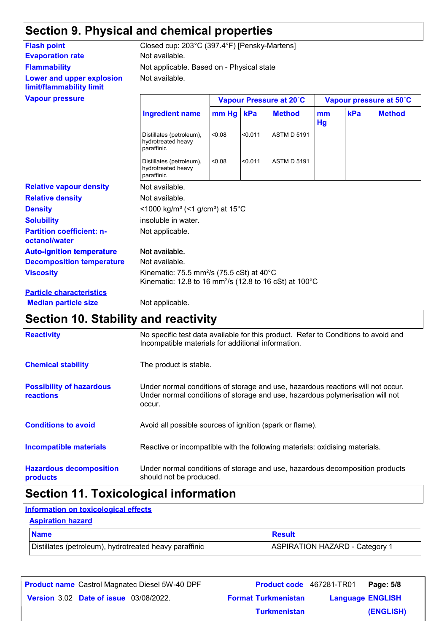### **Section 9. Physical and chemical properties**

### **Evaporation rate** Not available. **Flammability Lower and upper explosion limit/flammability limit**

Not available. Not applicable. Based on - Physical state **Flash point** Closed cup: 203°C (397.4°F) [Pensky-Martens]

|                                                   | Vapour Pressure at 20°C                                                                                                                           |             |         |                    |          | Vapour pressure at 50°C |               |  |
|---------------------------------------------------|---------------------------------------------------------------------------------------------------------------------------------------------------|-------------|---------|--------------------|----------|-------------------------|---------------|--|
|                                                   | <b>Ingredient name</b>                                                                                                                            | $mm Hg$ kPa |         | <b>Method</b>      | mm<br>Hg | kPa                     | <b>Method</b> |  |
|                                                   | Distillates (petroleum),<br>hydrotreated heavy<br>paraffinic                                                                                      | 0.08        | < 0.011 | <b>ASTM D 5191</b> |          |                         |               |  |
|                                                   | Distillates (petroleum),<br>hydrotreated heavy<br>paraffinic                                                                                      | < 0.08      | < 0.011 | <b>ASTM D 5191</b> |          |                         |               |  |
| <b>Relative vapour density</b>                    | Not available.                                                                                                                                    |             |         |                    |          |                         |               |  |
| <b>Relative density</b>                           | Not available.                                                                                                                                    |             |         |                    |          |                         |               |  |
| <b>Density</b>                                    | <1000 kg/m <sup>3</sup> (<1 g/cm <sup>3</sup> ) at 15 <sup>°</sup> C                                                                              |             |         |                    |          |                         |               |  |
| <b>Solubility</b>                                 | insoluble in water.                                                                                                                               |             |         |                    |          |                         |               |  |
| <b>Partition coefficient: n-</b><br>octanol/water | Not applicable.                                                                                                                                   |             |         |                    |          |                         |               |  |
| <b>Auto-ignition temperature</b>                  | Not available.                                                                                                                                    |             |         |                    |          |                         |               |  |
| <b>Decomposition temperature</b>                  | Not available.                                                                                                                                    |             |         |                    |          |                         |               |  |
| <b>Viscosity</b>                                  | Kinematic: 75.5 mm <sup>2</sup> /s (75.5 cSt) at 40 $^{\circ}$ C<br>Kinematic: 12.8 to 16 mm <sup>2</sup> /s (12.8 to 16 cSt) at 100 $^{\circ}$ C |             |         |                    |          |                         |               |  |
| <b>Particle characteristics</b>                   |                                                                                                                                                   |             |         |                    |          |                         |               |  |
| <b>Median particle size</b>                       | Not applicable.                                                                                                                                   |             |         |                    |          |                         |               |  |

## **Section 10. Stability and reactivity**

| <b>Reactivity</b>                            | No specific test data available for this product. Refer to Conditions to avoid and<br>Incompatible materials for additional information.                                   |
|----------------------------------------------|----------------------------------------------------------------------------------------------------------------------------------------------------------------------------|
| <b>Chemical stability</b>                    | The product is stable.                                                                                                                                                     |
| <b>Possibility of hazardous</b><br>reactions | Under normal conditions of storage and use, hazardous reactions will not occur.<br>Under normal conditions of storage and use, hazardous polymerisation will not<br>occur. |
| <b>Conditions to avoid</b>                   | Avoid all possible sources of ignition (spark or flame).                                                                                                                   |
| Incompatible materials                       | Reactive or incompatible with the following materials: oxidising materials.                                                                                                |
| <b>Hazardous decomposition</b><br>products   | Under normal conditions of storage and use, hazardous decomposition products<br>should not be produced.                                                                    |

### **Section 11. Toxicological information**

#### **Information on toxicological effects**

#### **Aspiration hazard**

| <b>Name</b>                                            | <b>Result</b>                         |
|--------------------------------------------------------|---------------------------------------|
| Distillates (petroleum), hydrotreated heavy paraffinic | <b>ASPIRATION HAZARD - Category 1</b> |

| <b>Product name</b> Castrol Magnatec Diesel 5W-40 DPF | <b>Product code</b> 467281-TR01 |                         | Page: 5/8 |
|-------------------------------------------------------|---------------------------------|-------------------------|-----------|
| <b>Version 3.02 Date of issue 03/08/2022.</b>         | <b>Format Turkmenistan</b>      | <b>Language ENGLISH</b> |           |
|                                                       | <b>Turkmenistan</b>             |                         | (ENGLISH) |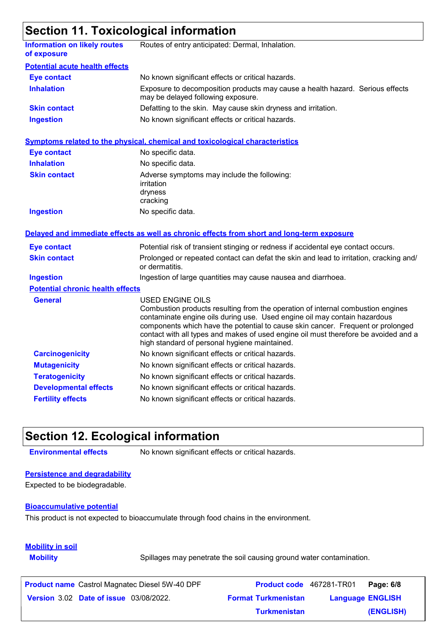### **Section 11. Toxicological information**

|                                                    | 0000   111   0100009100   1110   1110   11                                                                                                                                                                                                                                                                                                                                                                         |
|----------------------------------------------------|--------------------------------------------------------------------------------------------------------------------------------------------------------------------------------------------------------------------------------------------------------------------------------------------------------------------------------------------------------------------------------------------------------------------|
| <b>Information on likely routes</b><br>of exposure | Routes of entry anticipated: Dermal, Inhalation.                                                                                                                                                                                                                                                                                                                                                                   |
| <b>Potential acute health effects</b>              |                                                                                                                                                                                                                                                                                                                                                                                                                    |
| <b>Eye contact</b>                                 | No known significant effects or critical hazards.                                                                                                                                                                                                                                                                                                                                                                  |
| <b>Inhalation</b>                                  | Exposure to decomposition products may cause a health hazard. Serious effects<br>may be delayed following exposure.                                                                                                                                                                                                                                                                                                |
| <b>Skin contact</b>                                | Defatting to the skin. May cause skin dryness and irritation.                                                                                                                                                                                                                                                                                                                                                      |
| <b>Ingestion</b>                                   | No known significant effects or critical hazards.                                                                                                                                                                                                                                                                                                                                                                  |
|                                                    | Symptoms related to the physical, chemical and toxicological characteristics                                                                                                                                                                                                                                                                                                                                       |
| <b>Eye contact</b>                                 | No specific data.                                                                                                                                                                                                                                                                                                                                                                                                  |
| <b>Inhalation</b>                                  | No specific data.                                                                                                                                                                                                                                                                                                                                                                                                  |
| <b>Skin contact</b>                                | Adverse symptoms may include the following:<br>irritation<br>dryness<br>cracking                                                                                                                                                                                                                                                                                                                                   |
| <b>Ingestion</b>                                   | No specific data.                                                                                                                                                                                                                                                                                                                                                                                                  |
|                                                    | Delayed and immediate effects as well as chronic effects from short and long-term exposure                                                                                                                                                                                                                                                                                                                         |
| <b>Eye contact</b>                                 | Potential risk of transient stinging or redness if accidental eye contact occurs.                                                                                                                                                                                                                                                                                                                                  |
| <b>Skin contact</b>                                | Prolonged or repeated contact can defat the skin and lead to irritation, cracking and/<br>or dermatitis.                                                                                                                                                                                                                                                                                                           |
| <b>Ingestion</b>                                   | Ingestion of large quantities may cause nausea and diarrhoea.                                                                                                                                                                                                                                                                                                                                                      |
| <b>Potential chronic health effects</b>            |                                                                                                                                                                                                                                                                                                                                                                                                                    |
| <b>General</b>                                     | <b>USED ENGINE OILS</b><br>Combustion products resulting from the operation of internal combustion engines<br>contaminate engine oils during use. Used engine oil may contain hazardous<br>components which have the potential to cause skin cancer. Frequent or prolonged<br>contact with all types and makes of used engine oil must therefore be avoided and a<br>high standard of personal hygiene maintained. |
| <b>Carcinogenicity</b>                             | No known significant effects or critical hazards.                                                                                                                                                                                                                                                                                                                                                                  |
| <b>Mutagenicity</b>                                | No known significant effects or critical hazards.                                                                                                                                                                                                                                                                                                                                                                  |
| <b>Teratogenicity</b>                              | No known significant effects or critical hazards.                                                                                                                                                                                                                                                                                                                                                                  |
| <b>Developmental effects</b>                       | No known significant effects or critical hazards.                                                                                                                                                                                                                                                                                                                                                                  |
| <b>Fertility effects</b>                           | No known significant effects or critical hazards.                                                                                                                                                                                                                                                                                                                                                                  |

### **Section 12. Ecological information**

**Environmental effects** No known significant effects or critical hazards.

### **Persistence and degradability**

Expected to be biodegradable.

#### **Bioaccumulative potential**

This product is not expected to bioaccumulate through food chains in the environment.

### **Mobility in soil**

**Mobility** Spillages may penetrate the soil causing ground water contamination.

| <b>Product name</b> Castrol Magnatec Diesel 5W-40 DPF | Product code 467281-TR01   | Page: 6/8               |  |
|-------------------------------------------------------|----------------------------|-------------------------|--|
| <b>Version 3.02 Date of issue 03/08/2022.</b>         | <b>Format Turkmenistan</b> | <b>Language ENGLISH</b> |  |
|                                                       | <b>Turkmenistan</b>        | (ENGLISH)               |  |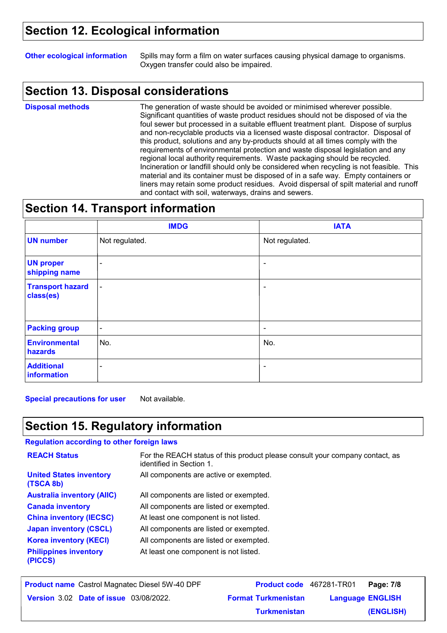### **Section 12. Ecological information**

**Other ecological information** Spills may form a film on water surfaces causing physical damage to organisms. Oxygen transfer could also be impaired.

### **Section 13. Disposal considerations**

**Disposal methods**

The generation of waste should be avoided or minimised wherever possible. Significant quantities of waste product residues should not be disposed of via the foul sewer but processed in a suitable effluent treatment plant. Dispose of surplus and non-recyclable products via a licensed waste disposal contractor. Disposal of this product, solutions and any by-products should at all times comply with the requirements of environmental protection and waste disposal legislation and any regional local authority requirements. Waste packaging should be recycled. Incineration or landfill should only be considered when recycling is not feasible. This material and its container must be disposed of in a safe way. Empty containers or liners may retain some product residues. Avoid dispersal of spilt material and runoff and contact with soil, waterways, drains and sewers.

### **Section 14. Transport information**

|                                      | <b>IMDG</b>              | <b>IATA</b>              |
|--------------------------------------|--------------------------|--------------------------|
| <b>UN number</b>                     | Not regulated.           | Not regulated.           |
| <b>UN proper</b><br>shipping name    | $\blacksquare$           | $\overline{\phantom{a}}$ |
| <b>Transport hazard</b><br>class(es) | $\blacksquare$           | ۰                        |
| <b>Packing group</b>                 | $\overline{\phantom{a}}$ | $\blacksquare$           |
| <b>Environmental</b><br>hazards      | No.                      | No.                      |
| <b>Additional</b><br>information     | $\blacksquare$           | $\blacksquare$           |

**Special precautions for user** Not available.

### **Section 15. Regulatory information**

#### **Regulation according to other foreign laws**

| <b>REACH Status</b>                         | For the REACH status of this product please consult your company contact, as<br>identified in Section 1. |
|---------------------------------------------|----------------------------------------------------------------------------------------------------------|
| <b>United States inventory</b><br>(TSCA 8b) | All components are active or exempted.                                                                   |
| <b>Australia inventory (AIIC)</b>           | All components are listed or exempted.                                                                   |
| <b>Canada inventory</b>                     | All components are listed or exempted.                                                                   |
| <b>China inventory (IECSC)</b>              | At least one component is not listed.                                                                    |
| <b>Japan inventory (CSCL)</b>               | All components are listed or exempted.                                                                   |
| <b>Korea inventory (KECI)</b>               | All components are listed or exempted.                                                                   |
| <b>Philippines inventory</b><br>(PICCS)     | At least one component is not listed.                                                                    |

| <b>Product name</b> Castrol Magnatec Diesel 5W-40 DPF | <b>Product code</b> 467281-TR01 |                         | Page: 7/8 |
|-------------------------------------------------------|---------------------------------|-------------------------|-----------|
| <b>Version 3.02 Date of issue 03/08/2022.</b>         | <b>Format Turkmenistan</b>      | <b>Language ENGLISH</b> |           |
|                                                       | <b>Turkmenistan</b>             |                         | (ENGLISH) |